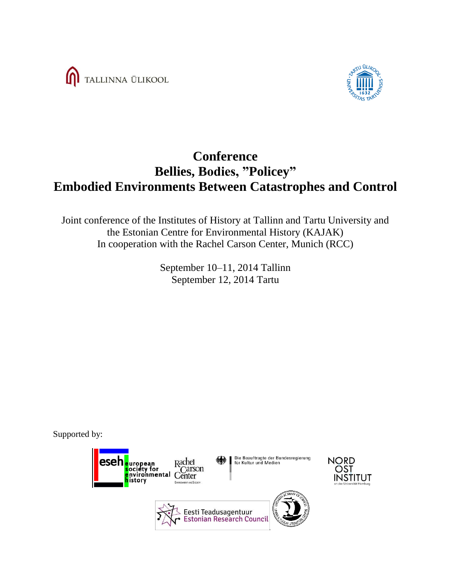



# **Conference Bellies, Bodies, "Policey" Embodied Environments Between Catastrophes and Control**

Joint conference of the Institutes of History at Tallinn and Tartu University and the Estonian Centre for Environmental History (KAJAK) In cooperation with the Rachel Carson Center, Munich (RCC)

> September 10–11, 2014 Tallinn September 12, 2014 Tartu

Supported by:

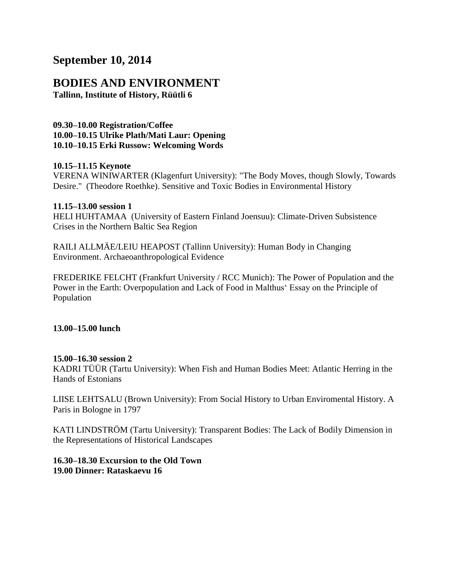### **September 10, 2014**

## **BODIES AND ENVIRONMENT**

**Tallinn, Institute of History, Rüütli 6**

**09.30–10.00 Registration/Coffee 10.00–10.15 Ulrike Plath/Mati Laur: Opening 10.10–10.15 Erki Russow: Welcoming Words** 

#### **10.15–11.15 Keynote**

VERENA WINIWARTER (Klagenfurt University): "The Body Moves, though Slowly, Towards Desire." (Theodore Roethke). Sensitive and Toxic Bodies in Environmental History

#### **11.15–13.00 session 1**

HELI HUHTAMAA (University of Eastern Finland Joensuu): Climate-Driven Subsistence Crises in the Northern Baltic Sea Region

RAILI ALLMÄE/LEIU HEAPOST (Tallinn University): Human Body in Changing Environment. Archaeoanthropological Evidence

FREDERIKE FELCHT (Frankfurt University / RCC Munich): The Power of Population and the Power in the Earth: Overpopulation and Lack of Food in Malthus' Essay on the Principle of Population

#### **13.00–15.00 lunch**

#### **15.00–16.30 session 2**

KADRI TÜÜR (Tartu University): When Fish and Human Bodies Meet: Atlantic Herring in the Hands of Estonians

LIISE LEHTSALU (Brown University): From Social History to Urban Enviromental History. A Paris in Bologne in 1797

KATI LINDSTRÖM (Tartu University): Transparent Bodies: The Lack of Bodily Dimension in the Representations of Historical Landscapes

#### **16.30–18.30 Excursion to the Old Town 19.00 Dinner: Rataskaevu 16**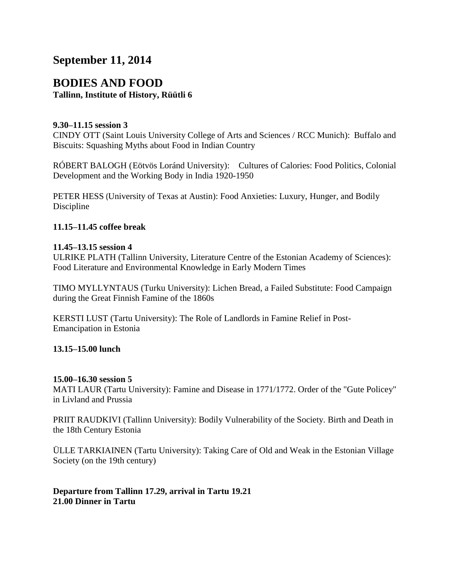## **September 11, 2014**

### **BODIES AND FOOD Tallinn, Institute of History, Rüütli 6**

#### **9.30–11.15 session 3**

CINDY OTT (Saint Louis University College of Arts and Sciences / RCC Munich): Buffalo and Biscuits: Squashing Myths about Food in Indian Country

RÓBERT BALOGH (Eötvös Loránd University): Cultures of Calories: Food Politics, Colonial Development and the Working Body in India 1920-1950

PETER HESS (University of Texas at Austin): Food Anxieties: Luxury, Hunger, and Bodily Discipline

#### **11.15–11.45 coffee break**

#### **11.45–13.15 session 4**

ULRIKE PLATH (Tallinn University, Literature Centre of the Estonian Academy of Sciences): Food Literature and Environmental Knowledge in Early Modern Times

TIMO MYLLYNTAUS (Turku University): Lichen Bread, a Failed Substitute: Food Campaign during the Great Finnish Famine of the 1860s

KERSTI LUST (Tartu University): The Role of Landlords in Famine Relief in Post-Emancipation in Estonia

#### **13.15–15.00 lunch**

#### **15.00–16.30 session 5**

MATI LAUR (Tartu University): Famine and Disease in 1771/1772. Order of the "Gute Policey" in Livland and Prussia

PRIIT RAUDKIVI (Tallinn University): Bodily Vulnerability of the Society. Birth and Death in the 18th Century Estonia

ÜLLE TARKIAINEN (Tartu University): Taking Care of Old and Weak in the Estonian Village Society (on the 19th century)

#### **Departure from Tallinn 17.29, arrival in Tartu 19.21 21.00 Dinner in Tartu**